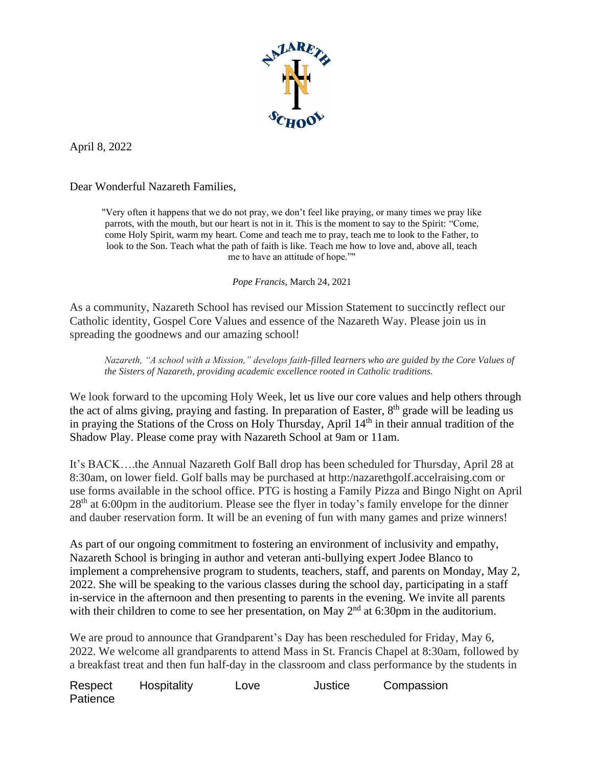

April 8, 2022

Dear Wonderful Nazareth Families,

"Very often it happens that we do not pray, we don't feel like praying, or many times we pray like parrots, with the mouth, but our heart is not in it. This is the moment to say to the Spirit: "Come, come Holy Spirit, warm my heart. Come and teach me to pray, teach me to look to the Father, to look to the Son. Teach what the path of faith is like. Teach me how to love and, above all, teach me to have an attitude of hope.""

*Pope Francis*, March 24, 2021

As a community, Nazareth School has revised our Mission Statement to succinctly reflect our Catholic identity, Gospel Core Values and essence of the Nazareth Way. Please join us in spreading the goodnews and our amazing school!

*Nazareth, "A school with a Mission," develops faith-filled learners who are guided by the Core Values of the Sisters of Nazareth, providing academic excellence rooted in Catholic traditions.*

We look forward to the upcoming Holy Week, let us live our core values and help others through the act of alms giving, praying and fasting. In preparation of Easter,  $8<sup>th</sup>$  grade will be leading us in praying the Stations of the Cross on Holy Thursday, April 14<sup>th</sup> in their annual tradition of the Shadow Play. Please come pray with Nazareth School at 9am or 11am.

It's BACK….the Annual Nazareth Golf Ball drop has been scheduled for Thursday, April 28 at 8:30am, on lower field. Golf balls may be purchased at http:/nazarethgolf.accelraising.com or use forms available in the school office. PTG is hosting a Family Pizza and Bingo Night on April 28<sup>th</sup> at 6:00pm in the auditorium. Please see the flyer in today's family envelope for the dinner and dauber reservation form. It will be an evening of fun with many games and prize winners!

As part of our ongoing commitment to fostering an environment of inclusivity and empathy, Nazareth School is bringing in author and veteran anti-bullying expert Jodee Blanco to implement a comprehensive program to students, teachers, staff, and parents on Monday, May 2, 2022. She will be speaking to the various classes during the school day, participating in a staff in-service in the afternoon and then presenting to parents in the evening. We invite all parents with their children to come to see her presentation, on May  $2<sup>nd</sup>$  at 6:30pm in the auditorium.

We are proud to announce that Grandparent's Day has been rescheduled for Friday, May 6, 2022. We welcome all grandparents to attend Mass in St. Francis Chapel at 8:30am, followed by a breakfast treat and then fun half-day in the classroom and class performance by the students in

Respect Hospitality Love Justice Compassion **Patience**